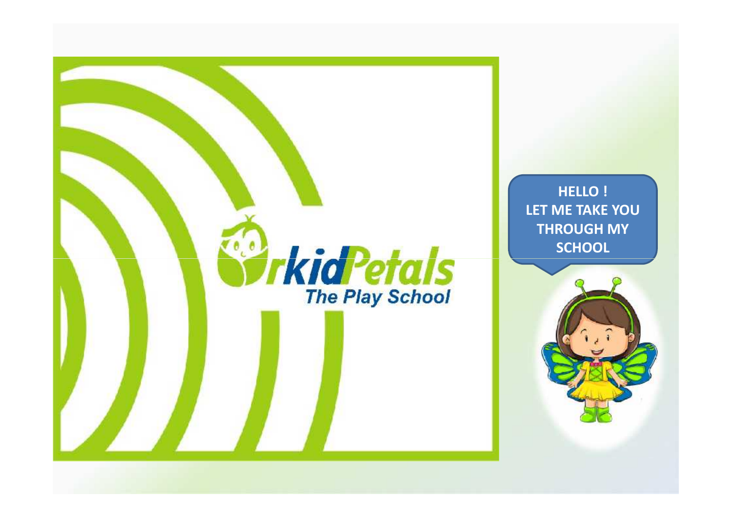

**HELLO ! LET ME TAKE YOU THROUGH MY SCHOOL**

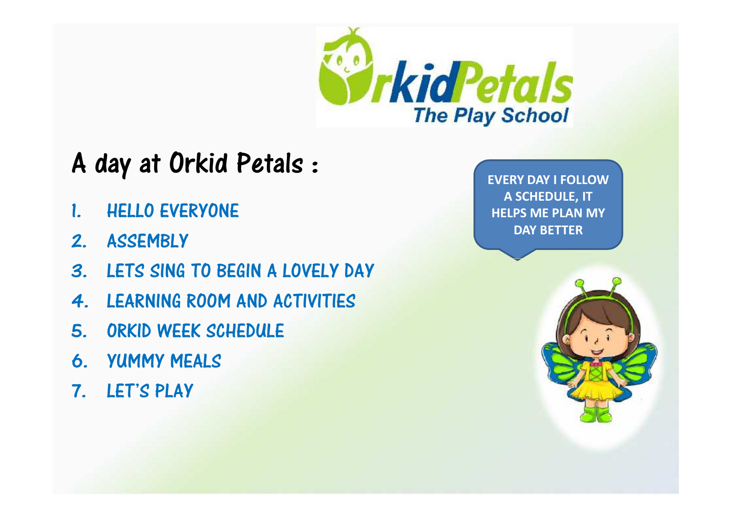

## A day at Orkid Petals :

- 1. HELLO EVERYONE
- 2. ASSEMBLY
- 3. LETS SING TO BEGIN A LOVELY DAY
- 4. LEARNING ROOM AND ACTIVITIES
- 5. ORKID WEEK SCHEDULE
- 6. YUMMY MEALS
- 7. LET'S PLAY

**EVERY DAY I FOLLOW A SCHEDULE, IT HELPS ME PLAN MY DAY BETTER**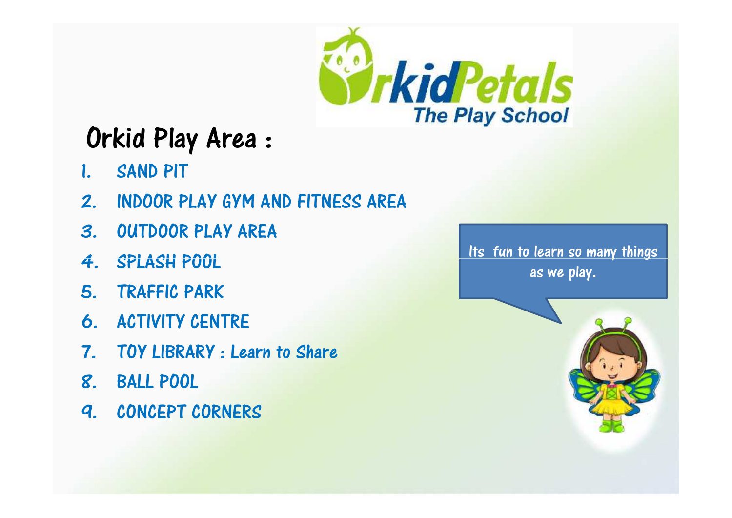

# Orkid Play Area :

- 1. SAND PIT
- 2. INDOOR PLAY GYM AND FITNESS AREA
- 3. OUTDOOR PLAY AREA
- 4. SPLASH POOL
- 5. TRAFFIC PARK
- 6. ACTIVITY CENTRE
- 7. TOY LIBRARY : Learn to Share
- 8. BALL POOL
- 9. CONCEPT CORNERS

Its fun to learn so many things as we play.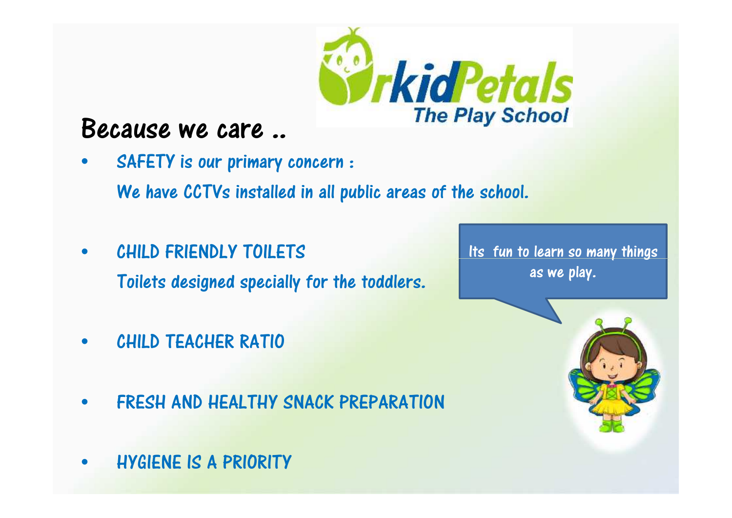

#### Because we care ..

- SAFETY is our primary concern : We have CCTVs installed in all public areas of the school.
- CHILD FRIENDLY TOILETS Toilets designed specially for the toddlers.
- CHILD TEACHER RATIO CHILD TEACHER RATIO
- FRESH AND HEALTHY SNACK PREPARATION
- HYGIENE IS A PRIORITY

Its fun to learn so many things as we play.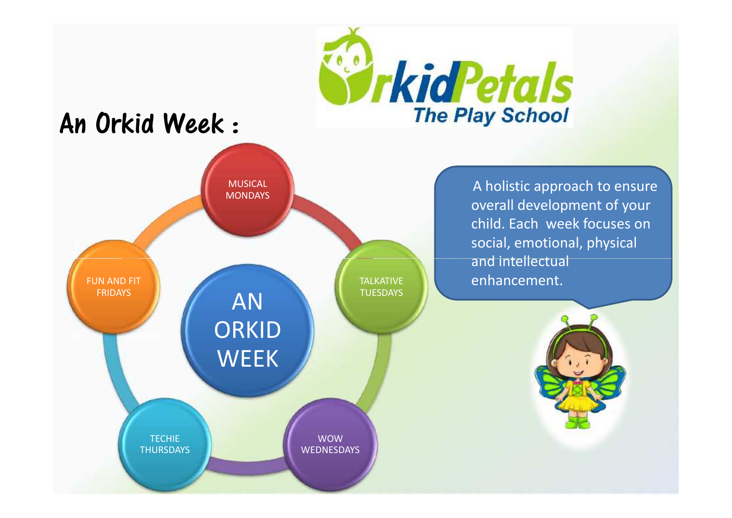

## An Orkid Week :



A holistic approach to ensure overall development of your child. Each week focuses on social, emotional, physical and intellectual enhancement.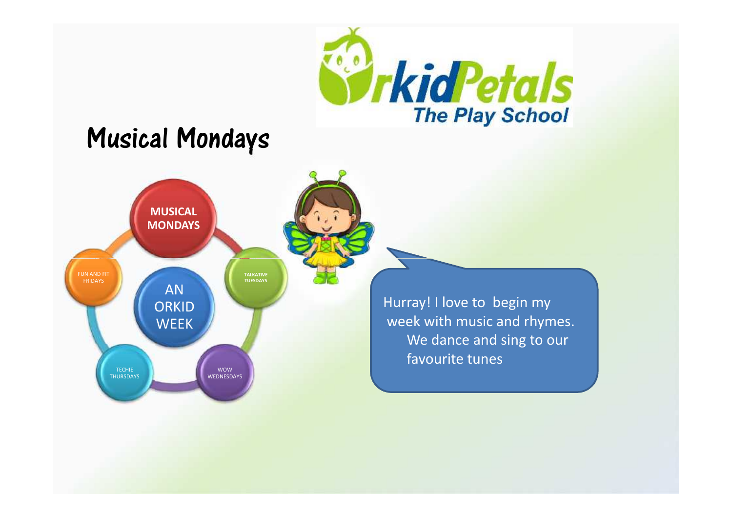

### Musical Mondays



Hurray! I love to begin my week with music and rhymes. We dance and sing to our favourite tunes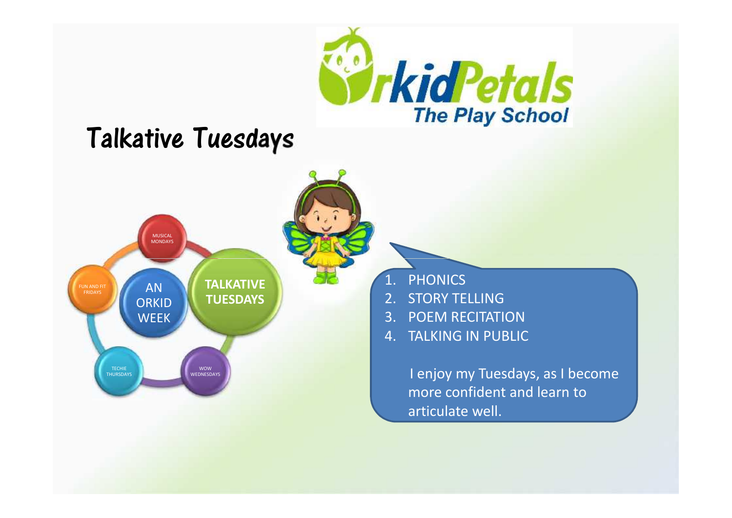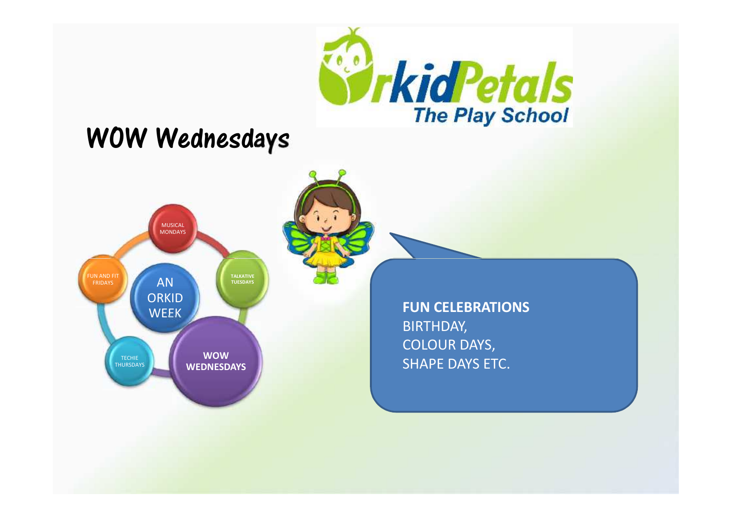

#### WOW Wednesdays

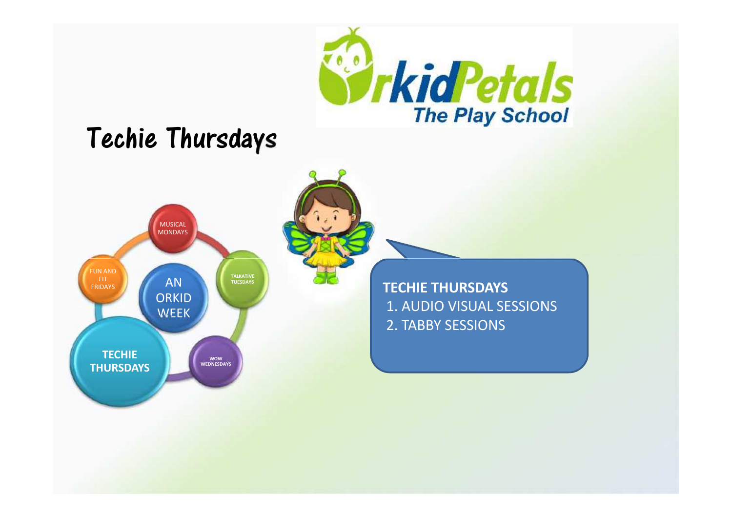

### Techie Thursdays



**TECHIE THURSDAYS** 1. AUDIO VISUAL SESSIONS 2. TABBY SESSIONS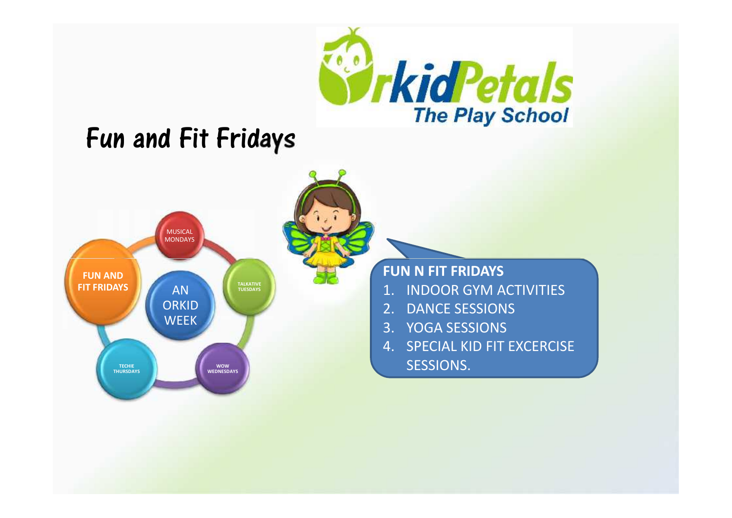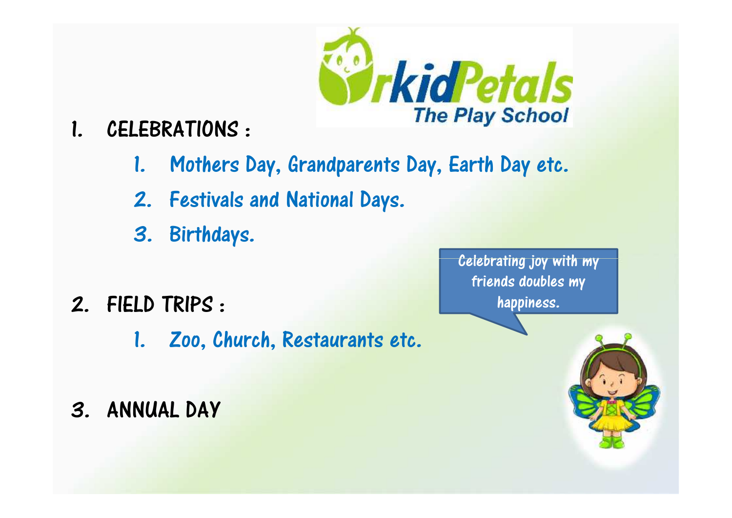

- 1. CELEBRATIONS :
	- 1. Mothers Day, Grandparents Day, Earth Day etc.
	- 2. Festivals and National Days.
	- 3. Birthdays.
- 2. FIELD TRIPS :
	- 1. Zoo, Church, Restaurants etc.
- 3. ANNUAL DAY

Celebrating joy with my friends doubles my happiness.